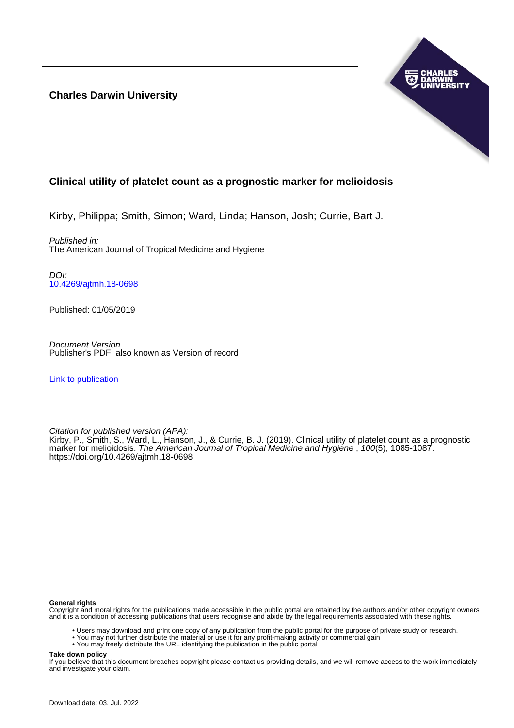**Charles Darwin University**



# **Clinical utility of platelet count as a prognostic marker for melioidosis**

Kirby, Philippa; Smith, Simon; Ward, Linda; Hanson, Josh; Currie, Bart J.

Published in: The American Journal of Tropical Medicine and Hygiene

DOI: [10.4269/ajtmh.18-0698](https://doi.org/10.4269/ajtmh.18-0698)

Published: 01/05/2019

Document Version Publisher's PDF, also known as Version of record

[Link to publication](https://researchers.cdu.edu.au/en/publications/c78420c4-2df8-486c-b14c-1292199f56c9)

Citation for published version (APA): Kirby, P., Smith, S., Ward, L., Hanson, J., & Currie, B. J. (2019). Clinical utility of platelet count as a prognostic marker for melioidosis. The American Journal of Tropical Medicine and Hygiene, 100(5), 1085-1087. <https://doi.org/10.4269/ajtmh.18-0698>

### **General rights**

Copyright and moral rights for the publications made accessible in the public portal are retained by the authors and/or other copyright owners and it is a condition of accessing publications that users recognise and abide by the legal requirements associated with these rights.

- Users may download and print one copy of any publication from the public portal for the purpose of private study or research.
- You may not further distribute the material or use it for any profit-making activity or commercial gain
- You may freely distribute the URL identifying the publication in the public portal

**Take down policy**

If you believe that this document breaches copyright please contact us providing details, and we will remove access to the work immediately and investigate your claim.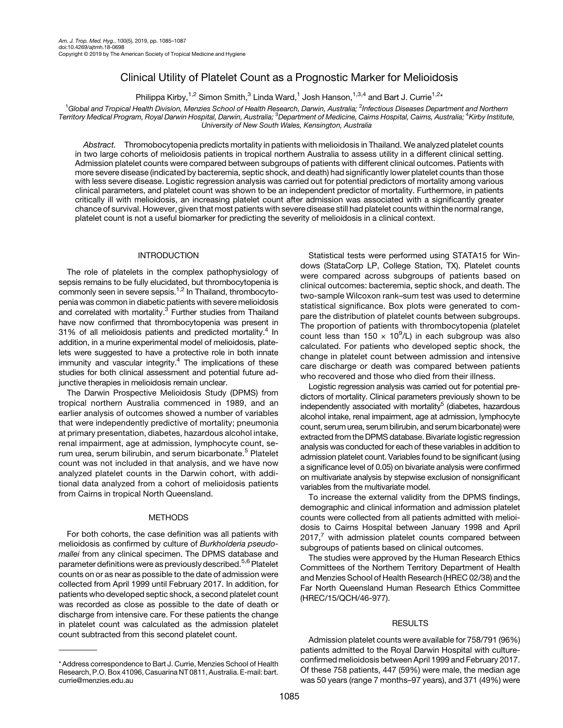# Clinical Utility of Platelet Count as a Prognostic Marker for Melioidosis

Philippa Kirby,<sup>1,2</sup> Simon Smith,<sup>3</sup> Linda Ward,<sup>1</sup> Josh Hanson,<sup>1,3,4</sup> and Bart J. Currie<sup>1,2\*</sup>

 $^1$ Global and Tropical Health Division, Menzies School of Health Research, Darwin, Australia;  $^2$ Infectious Diseases Department and Northern Territory Medical Program, Royal Darwin Hospital, Darwin, Australia; <sup>3</sup>Department of Medicine, Cairns Hospital, Cairns, Australia; <sup>4</sup>Kirby Institute, University of New South Wales, Kensington, Australia

Abstract. Thromobocytopenia predicts mortality in patients with melioidosis in Thailand. We analyzed platelet counts in two large cohorts of melioidosis patients in tropical northern Australia to assess utility in a different clinical setting. Admission platelet counts were compared between subgroups of patients with different clinical outcomes. Patients with more severe disease (indicated by bacteremia, septic shock, and death) had significantly lower platelet counts than those with less severe disease. Logistic regression analysis was carried out for potential predictors of mortality among various clinical parameters, and platelet count was shown to be an independent predictor of mortality. Furthermore, in patients critically ill with melioidosis, an increasing platelet count after admission was associated with a significantly greater chance of survival. However, given that most patients with severe disease still had platelet counts within the normal range, platelet count is not a useful biomarker for predicting the severity of melioidosis in a clinical context.

## INTRODUCTION

The role of platelets in the complex pathophysiology of sepsis remains to be fully elucidated, but thrombocytopenia is commonly seen in severe sepsis.<sup>[1,2](#page-3-0)</sup> In Thailand, thrombocytopenia was common in diabetic patients with severe melioidosis and correlated with mortality.<sup>3</sup> Further studies from Thailand have now confirmed that thrombocytopenia was present in 31% of all melioidosis patients and predicted mortality.<sup>4</sup> In addition, in a murine experimental model of melioidosis, platelets were suggested to have a protective role in both innate immunity and vascular integrity. $4$  The implications of these studies for both clinical assessment and potential future adjunctive therapies in melioidosis remain unclear.

The Darwin Prospective Melioidosis Study (DPMS) from tropical northern Australia commenced in 1989, and an earlier analysis of outcomes showed a number of variables that were independently predictive of mortality; pneumonia at primary presentation, diabetes, hazardous alcohol intake, renal impairment, age at admission, lymphocyte count, se-rum urea, serum bilirubin, and serum bicarbonate.<sup>[5](#page-3-0)</sup> Platelet count was not included in that analysis, and we have now analyzed platelet counts in the Darwin cohort, with additional data analyzed from a cohort of melioidosis patients from Cairns in tropical North Queensland.

#### **METHODS**

For both cohorts, the case definition was all patients with melioidosis as confirmed by culture of Burkholderia pseudomallei from any clinical specimen. The DPMS database and parameter definitions were as previously described.<sup>[5,6](#page-3-0)</sup> Platelet counts on or as near as possible to the date of admission were collected from April 1999 until February 2017. In addition, for patients who developed septic shock, a second platelet count was recorded as close as possible to the date of death or discharge from intensive care. For these patients the change in platelet count was calculated as the admission platelet count subtracted from this second platelet count.

Statistical tests were performed using STATA15 for Windows (StataCorp LP, College Station, TX). Platelet counts were compared across subgroups of patients based on clinical outcomes: bacteremia, septic shock, and death. The two-sample Wilcoxon rank–sum test was used to determine statistical significance. Box plots were generated to compare the distribution of platelet counts between subgroups. The proportion of patients with thrombocytopenia (platelet count less than  $150 \times 10^9$ /L) in each subgroup was also calculated. For patients who developed septic shock, the change in platelet count between admission and intensive care discharge or death was compared between patients who recovered and those who died from their illness.

Logistic regression analysis was carried out for potential predictors of mortality. Clinical parameters previously shown to be independently associated with mortality<sup>5</sup> (diabetes, hazardous alcohol intake, renal impairment, age at admission, lymphocyte count, serum urea, serum bilirubin, and serum bicarbonate) were extracted from the DPMS database. Bivariate logistic regression analysis was conducted for each of these variables in addition to admission platelet count. Variables found to be significant (using a significance level of 0.05) on bivariate analysis were confirmed on multivariate analysis by stepwise exclusion of nonsignificant variables from the multivariate model.

To increase the external validity from the DPMS findings, demographic and clinical information and admission platelet counts were collected from all patients admitted with melioidosis to Cairns Hospital between January 1998 and April  $2017<sup>7</sup>$  $2017<sup>7</sup>$  $2017<sup>7</sup>$  with admission platelet counts compared between subgroups of patients based on clinical outcomes.

The studies were approved by the Human Research Ethics Committees of the Northern Territory Department of Health and Menzies School of Health Research (HREC 02/38) and the Far North Queensland Human Research Ethics Committee (HREC/15/QCH/46-977).

### RESULTS

Admission platelet counts were available for 758/791 (96%) patients admitted to the Royal Darwin Hospital with cultureconfirmed melioidosis between April 1999 and February 2017. Of these 758 patients, 447 (59%) were male, the median age was 50 years (range 7 months–97 years), and 371 (49%) were

<sup>\*</sup> Address correspondence to Bart J. Currie, Menzies School of Health Research, P.O. Box 41096, Casuarina NT 0811, Australia. E-mail: [bart.](mailto:bart.currie@menzies.edu.au) [currie@menzies.edu.au](mailto:bart.currie@menzies.edu.au)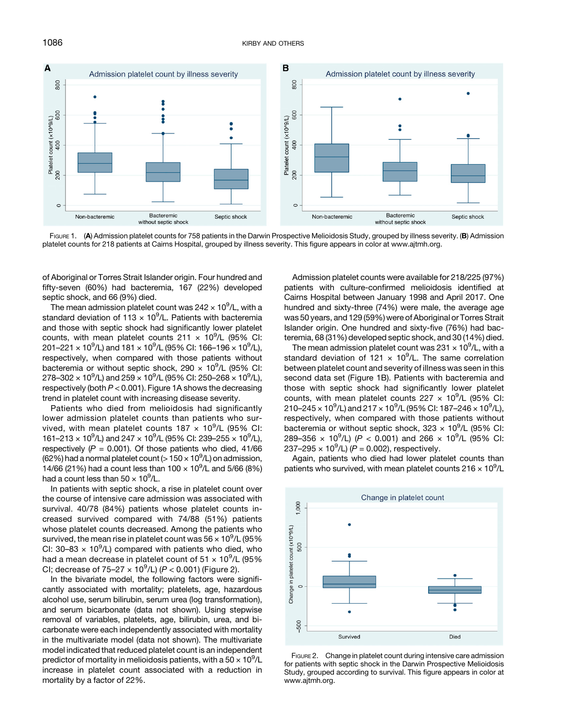<span id="page-2-0"></span>

FIGURE 1. (A) Admission platelet counts for 758 patients in the Darwin Prospective Melioidosis Study, grouped by illness severity. (B) Admission platelet counts for 218 patients at Cairns Hospital, grouped by illness severity. This figure appears in color at [www.ajtmh.org](http://www.ajtmh.org).

of Aboriginal or Torres Strait Islander origin. Four hundred and fifty-seven (60%) had bacteremia, 167 (22%) developed septic shock, and 66 (9%) died.

The mean admission platelet count was 242  $\times$  10 $^9$ /L, with a standard deviation of 113  $\times$  10<sup>9</sup>/L. Patients with bacteremia and those with septic shock had significantly lower platelet counts, with mean platelet counts  $211 \times 10^9$ /L (95% CI: 201–221  $\times$  10<sup>9</sup>/L) and 181  $\times$  10<sup>9</sup>/L (95% CI: 166–196  $\times$  10<sup>9</sup>/L), respectively, when compared with those patients without bacteremia or without septic shock, 290  $\times$  10<sup>9</sup>/L (95% CI: 278–302  $\times$  10 $^{9}$ /L) and 259  $\times$  10 $^{9}$ /L (95% CI: 250–268  $\times$  10 $^{9}$ /L), respectively (both  $P < 0.001$ ). Figure 1A shows the decreasing trend in platelet count with increasing disease severity.

Patients who died from melioidosis had significantly lower admission platelet counts than patients who survived, with mean platelet counts  $187 \times 10^9$ /L (95% CI: 161-213  $\times$  10<sup>9</sup>/L) and 247  $\times$  10<sup>9</sup>/L (95% CI: 239-255  $\times$  10<sup>9</sup>/L), respectively ( $P = 0.001$ ). Of those patients who died, 41/66 (62%) had a normal platelet count (> 150  $\times$  10 $^{9}$ /L) on admission, 14/66 (21%) had a count less than  $100 \times 10^9$ /L and 5/66 (8%) had a count less than  $50 \times 10^9$ /L.

In patients with septic shock, a rise in platelet count over the course of intensive care admission was associated with survival. 40/78 (84%) patients whose platelet counts increased survived compared with 74/88 (51%) patients whose platelet counts decreased. Among the patients who survived, the mean rise in platelet count was 56  $\times$  10 $^{9}$ /L (95% CI: 30-83  $\times$  10<sup>9</sup>/L) compared with patients who died, who had a mean decrease in platelet count of 51  $\times$  10<sup>9</sup>/L (95% CI; decrease of  $75-27 \times 10^9$ /L) ( $P < 0.001$ ) (Figure 2).

In the bivariate model, the following factors were significantly associated with mortality; platelets, age, hazardous alcohol use, serum bilirubin, serum urea (log transformation), and serum bicarbonate (data not shown). Using stepwise removal of variables, platelets, age, bilirubin, urea, and bicarbonate were each independently associated with mortality in the multivariate model (data not shown). The multivariate model indicated that reduced platelet count is an independent predictor of mortality in melioidosis patients, with a 50  $\times$  10 $^{9}$ /L increase in platelet count associated with a reduction in mortality by a factor of 22%.

Admission platelet counts were available for 218/225 (97%) patients with culture-confirmed melioidosis identified at Cairns Hospital between January 1998 and April 2017. One hundred and sixty-three (74%) were male, the average age was 50 years, and 129 (59%) were of Aboriginal or Torres Strait Islander origin. One hundred and sixty-five (76%) had bacteremia, 68 (31%) developed septic shock, and 30 (14%) died.

The mean admission platelet count was 231  $\times$  10 $^9$ /L, with a standard deviation of 121  $\times$  10<sup>9</sup>/L. The same correlation between platelet count and severity of illness was seen in this second data set (Figure 1B). Patients with bacteremia and those with septic shock had significantly lower platelet counts, with mean platelet counts  $227 \times 10^9$ /L (95% CI: 210–245  $\times$  10 $^{9}$ /L) and 217  $\times$  10 $^{9}$ /L (95% CI: 187–246  $\times$  10 $^{9}$ /L), respectively, when compared with those patients without bacteremia or without septic shock,  $323 \times 10^9$ /L (95% CI: 289-356  $\times$  10<sup>9</sup>/L) (P < 0.001) and 266  $\times$  10<sup>9</sup>/L (95% CI: 237–295  $\times$  10<sup>9</sup>/L) (P = 0.002), respectively.

Again, patients who died had lower platelet counts than patients who survived, with mean platelet counts 216  $\times$  10 $^9$ /L



FIGURE 2. Change in platelet count during intensive care admission for patients with septic shock in the Darwin Prospective Melioidosis Study, grouped according to survival. This figure appears in color at [www.ajtmh.org.](http://www.ajtmh.org)